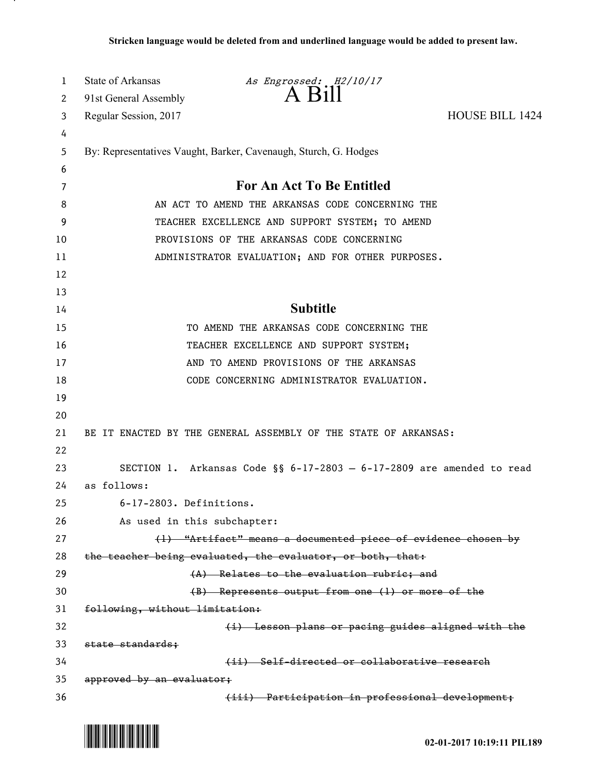| 1  | <b>State of Arkansas</b>       | As Engrossed: H2/10/17                                                  |                        |
|----|--------------------------------|-------------------------------------------------------------------------|------------------------|
| 2  | 91st General Assembly          | A Bill                                                                  |                        |
| 3  | Regular Session, 2017          |                                                                         | <b>HOUSE BILL 1424</b> |
| 4  |                                |                                                                         |                        |
| 5  |                                | By: Representatives Vaught, Barker, Cavenaugh, Sturch, G. Hodges        |                        |
| 6  |                                |                                                                         |                        |
| 7  |                                | For An Act To Be Entitled                                               |                        |
| 8  |                                | AN ACT TO AMEND THE ARKANSAS CODE CONCERNING THE                        |                        |
| 9  |                                | TEACHER EXCELLENCE AND SUPPORT SYSTEM; TO AMEND                         |                        |
| 10 |                                | PROVISIONS OF THE ARKANSAS CODE CONCERNING                              |                        |
| 11 |                                | ADMINISTRATOR EVALUATION; AND FOR OTHER PURPOSES.                       |                        |
| 12 |                                |                                                                         |                        |
| 13 |                                |                                                                         |                        |
| 14 |                                | <b>Subtitle</b>                                                         |                        |
| 15 |                                | TO AMEND THE ARKANSAS CODE CONCERNING THE                               |                        |
| 16 |                                | TEACHER EXCELLENCE AND SUPPORT SYSTEM;                                  |                        |
| 17 |                                | AND TO AMEND PROVISIONS OF THE ARKANSAS                                 |                        |
| 18 |                                | CODE CONCERNING ADMINISTRATOR EVALUATION.                               |                        |
| 19 |                                |                                                                         |                        |
| 20 |                                |                                                                         |                        |
| 21 |                                | BE IT ENACTED BY THE GENERAL ASSEMBLY OF THE STATE OF ARKANSAS:         |                        |
| 22 |                                |                                                                         |                        |
| 23 |                                | SECTION 1. Arkansas Code §§ $6-17-2803 - 6-17-2809$ are amended to read |                        |
| 24 | as follows:                    |                                                                         |                        |
| 25 | 6-17-2803. Definitions.        |                                                                         |                        |
| 26 | As used in this subchapter:    |                                                                         |                        |
| 27 |                                | (1) "Artifact" means a documented piece of evidence chosen by           |                        |
| 28 |                                | the teacher being evaluated, the evaluator, or both, that:              |                        |
| 29 |                                | (A) Relates to the evaluation rubric; and                               |                        |
| 30 |                                | (B) Represents output from one (1) or more of the                       |                        |
| 31 | following, without limitation: |                                                                         |                        |
| 32 |                                | (i) Lesson plans or pacing guides aligned with the                      |                        |
| 33 | state standards;               |                                                                         |                        |
| 34 |                                | (ii) Self-directed or collaborative research                            |                        |
| 35 | approved by an evaluator;      |                                                                         |                        |
| 36 |                                | (iii) Participation in professional development;                        |                        |



.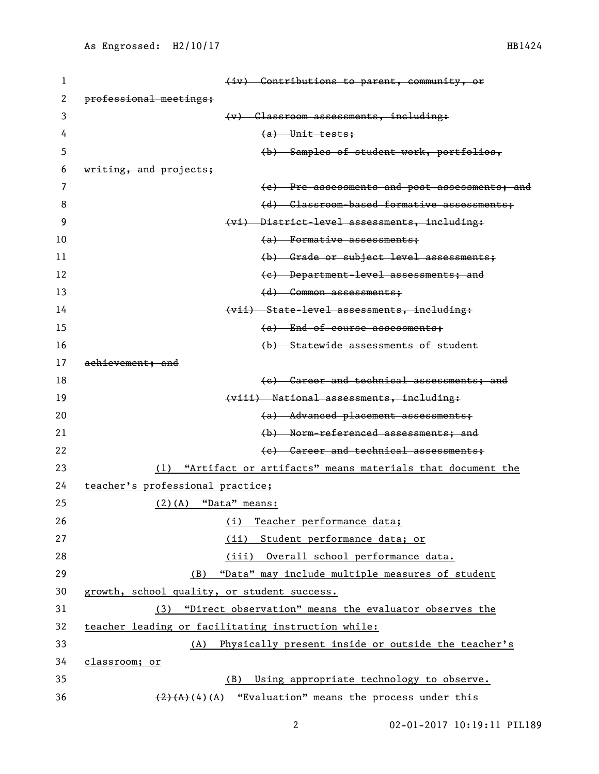| 1  | (iv) Contributions to parent, community, or                   |
|----|---------------------------------------------------------------|
| 2  | professional meetings;                                        |
| 3  | (v) Classroom assessments, including:                         |
| 4  | $(a)$ Unit tests;                                             |
| 5  | (b) Samples of student work, portfolios,                      |
| 6  | writing, and projects;                                        |
| 7  | (e) Pre-assessments and post-assessments; and                 |
| 8  | (d) Classroom-based formative assessments;                    |
| 9  | (vi) District-level assessments, including:                   |
| 10 | $(a)$ Formative assessments;                                  |
| 11 | (b) Grade or subject level assessments;                       |
| 12 | (e) Department-level assessments; and                         |
| 13 | (d) Common assessments;                                       |
| 14 | (vii) State-level assessments, including:                     |
| 15 | (a) End-of-course assessments;                                |
| 16 | (b) Statewide assessments of student                          |
| 17 | achievement; and                                              |
| 18 | (e) Career and technical assessments; and                     |
| 19 | (viii) National assessments, including:                       |
| 20 | (a) Advanced placement assessments;                           |
| 21 | (b) Norm-referenced assessments; and                          |
| 22 | (e) Career and technical assessments;                         |
| 23 | (1) "Artifact or artifacts" means materials that document the |
| 24 | teacher's professional practice;                              |
| 25 | $(2)$ (A) "Data" means:                                       |
| 26 | Teacher performance data;<br>(i)                              |
| 27 | (ii) Student performance data; or                             |
| 28 | (iii) Overall school performance data.                        |
| 29 | "Data" may include multiple measures of student<br>(B)        |
| 30 | growth, school quality, or student success.                   |
| 31 | (3) "Direct observation" means the evaluator observes the     |
| 32 | teacher leading or facilitating instruction while:            |
| 33 | Physically present inside or outside the teacher's<br>(A)     |
| 34 | classroom; or                                                 |
| 35 | Using appropriate technology to observe.<br>(B)               |
| 36 | $(2)$ $(A)$ $(A)$ "Evaluation" means the process under this   |

02-01-2017 10:19:11 PIL189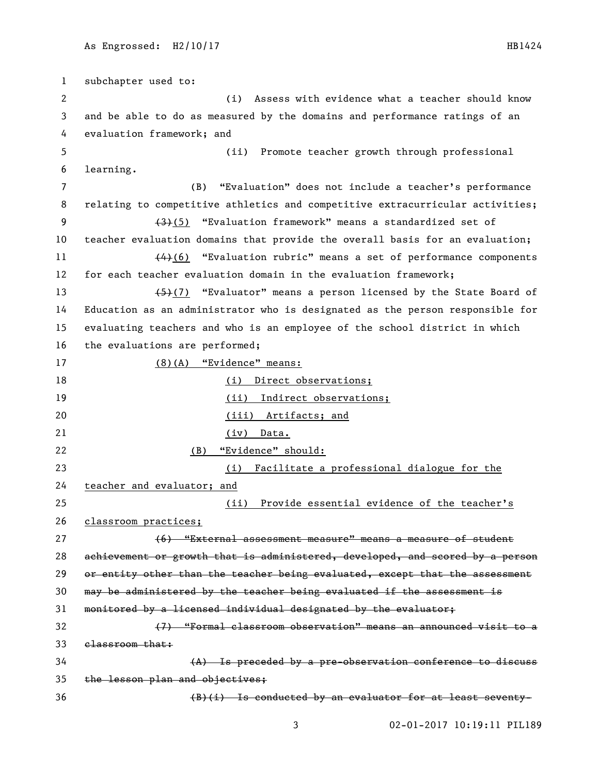subchapter used to: (i) Assess with evidence what a teacher should know and be able to do as measured by the domains and performance ratings of an evaluation framework; and (ii) Promote teacher growth through professional learning. (B) "Evaluation" does not include a teacher's performance relating to competitive athletics and competitive extracurricular activities; 9 (3)(5) "Evaluation framework" means a standardized set of teacher evaluation domains that provide the overall basis for an evaluation;  $\left\langle 4\right\rangle$  (6) "Evaluation rubric" means a set of performance components for each teacher evaluation domain in the evaluation framework; 13 (5)(7) "Evaluator" means a person licensed by the State Board of Education as an administrator who is designated as the person responsible for evaluating teachers and who is an employee of the school district in which the evaluations are performed; (8)(A) "Evidence" means: 18 (i) Direct observations; 19 (ii) Indirect observations; (iii) Artifacts; and (iv) Data. (B) "Evidence" should: (i) Facilitate a professional dialogue for the teacher and evaluator; and (ii) Provide essential evidence of the teacher's 26 classroom practices; (6) "External assessment measure" means a measure of student achievement or growth that is administered, developed, and scored by a person 29 or entity other than the teacher being evaluated, except that the assessment may be administered by the teacher being evaluated if the assessment is monitored by a licensed individual designated by the evaluator; (7) "Formal classroom observation" means an announced visit to a classroom that:  $(A)$  Is preceded by a pre-observation conference to discuss the lesson plan and objectives; 36 (B)(i) Is conducted by an evaluator for at least seventy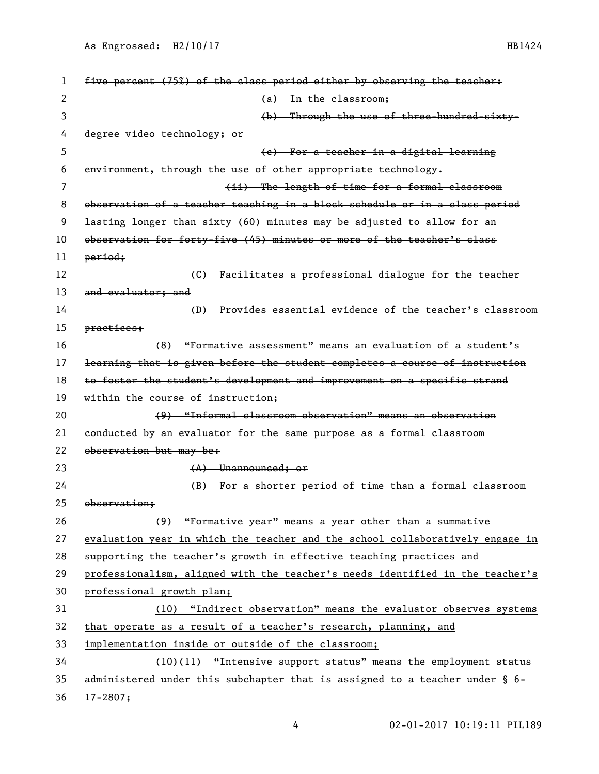| 1  | five percent (75%) of the class period either by observing the teacher:       |
|----|-------------------------------------------------------------------------------|
| 2  | $(a)$ In the classroom;                                                       |
| 3  | (b) Through the use of three-hundred-sixty-                                   |
| 4  | degree video technology; or                                                   |
| 5  | (e) For a teacher in a digital learning                                       |
| 6  | environment, through the use of other appropriate technology.                 |
| 7  | (ii) The length of time for a formal classroom                                |
| 8  | observation of a teacher teaching in a block schedule or in a class period    |
| 9  | lasting longer than sixty (60) minutes may be adjusted to allow for an        |
| 10 | observation for forty-five (45) minutes or more of the teacher's class        |
| 11 | period;                                                                       |
| 12 | (C) Facilitates a professional dialogue for the teacher                       |
| 13 | and evaluator; and                                                            |
| 14 | (D) Provides essential evidence of the teacher's classroom                    |
| 15 | practices;                                                                    |
| 16 | (8) "Formative assessment" means an evaluation of a student's                 |
| 17 | learning that is given before the student completes a course of instruction   |
| 18 | to foster the student's development and improvement on a specific strand      |
| 19 | within the course of instruction;                                             |
| 20 | (9) "Informal classroom observation" means an observation                     |
| 21 | conducted by an evaluator for the same purpose as a formal classroom          |
| 22 | observation but may be:                                                       |
| 23 | $(A)$ Unannounced: or                                                         |
| 24 | (B) For a shorter period of time than a formal classroom                      |
| 25 | observation:                                                                  |
| 26 | (9) "Formative year" means a year other than a summative                      |
| 27 | evaluation year in which the teacher and the school collaboratively engage in |
| 28 | supporting the teacher's growth in effective teaching practices and           |
| 29 | professionalism, aligned with the teacher's needs identified in the teacher's |
| 30 | professional growth plan;                                                     |
| 31 | (10) "Indirect observation" means the evaluator observes systems              |
| 32 | that operate as a result of a teacher's research, planning, and               |
| 33 | implementation inside or outside of the classroom;                            |
| 34 | (10)(11) "Intensive support status" means the employment status               |
| 35 | administered under this subchapter that is assigned to a teacher under § 6-   |
| 36 | $17 - 2807;$                                                                  |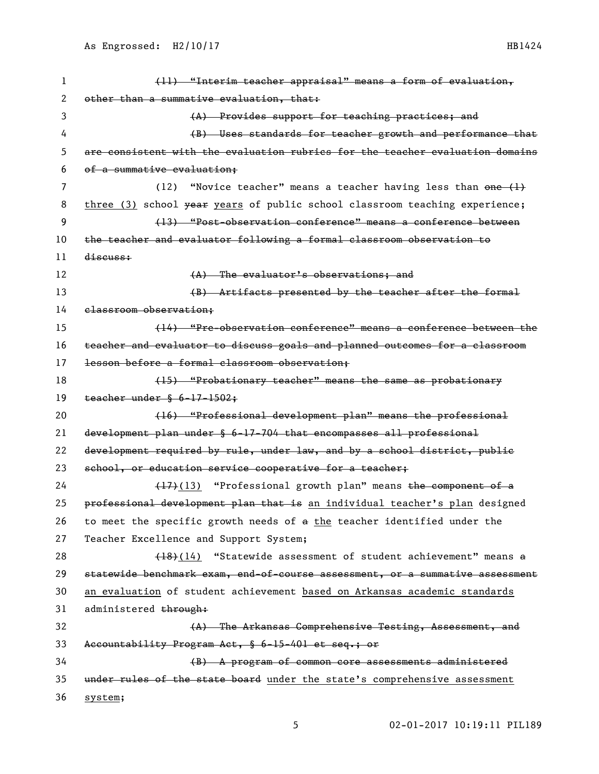| 1  | (11) "Interim teacher appraisal" means a form of evaluation,                  |
|----|-------------------------------------------------------------------------------|
| 2  | other than a summative evaluation, that:                                      |
| 3  | (A) Provides support for teaching practices; and                              |
| 4  | (B) Uses standards for teacher growth and performance that                    |
| 5  | are consistent with the evaluation rubrics for the teacher evaluation domains |
| 6  | of a summative evaluation;                                                    |
| 7  | "Novice teacher" means a teacher having less than one (1)<br>(12)             |
| 8  | three (3) school year years of public school classroom teaching experience;   |
| 9  | (13) "Post-observation conference" means a conference between                 |
| 10 | the teacher and evaluator following a formal classroom observation to         |
| 11 | discuss:                                                                      |
| 12 | (A) The evaluator's observations; and                                         |
| 13 | (B) Artifacts presented by the teacher after the formal                       |
| 14 | elassroom observation;                                                        |
| 15 | (14) "Pre-observation conference" means a conference between the              |
| 16 | teacher and evaluator to discuss goals and planned outcomes for a classroom   |
| 17 | lesson before a formal classroom observation;                                 |
| 18 | (15) "Probationary teacher" means the same as probationary                    |
| 19 | teacher under § 6-17-1502;                                                    |
| 20 | (16) "Professional development plan" means the professional                   |
| 21 | development plan under § 6-17-704 that encompasses all professional           |
| 22 | development required by rule, under law, and by a school district, public     |
| 23 | school, or education service cooperative for a teacher;                       |
| 24 | (17)(13) "Professional growth plan" means the component of a                  |
| 25 | professional development plan that is an individual teacher's plan designed   |
| 26 | to meet the specific growth needs of a the teacher identified under the       |
| 27 | Teacher Excellence and Support System;                                        |
| 28 | (18)(14) "Statewide assessment of student achievement" means a                |
| 29 | statewide benchmark exam, end-of-course assessment, or a summative assessment |
| 30 | an evaluation of student achievement based on Arkansas academic standards     |
| 31 | administered through:                                                         |
| 32 | (A) The Arkansas Comprehensive Testing, Assessment, and                       |
| 33 | Accountability Program Act, § 6-15-401 et seq.; or                            |
| 34 | (B) A program of common core assessments administered                         |
| 35 | under rules of the state board under the state's comprehensive assessment     |
| 36 | system;                                                                       |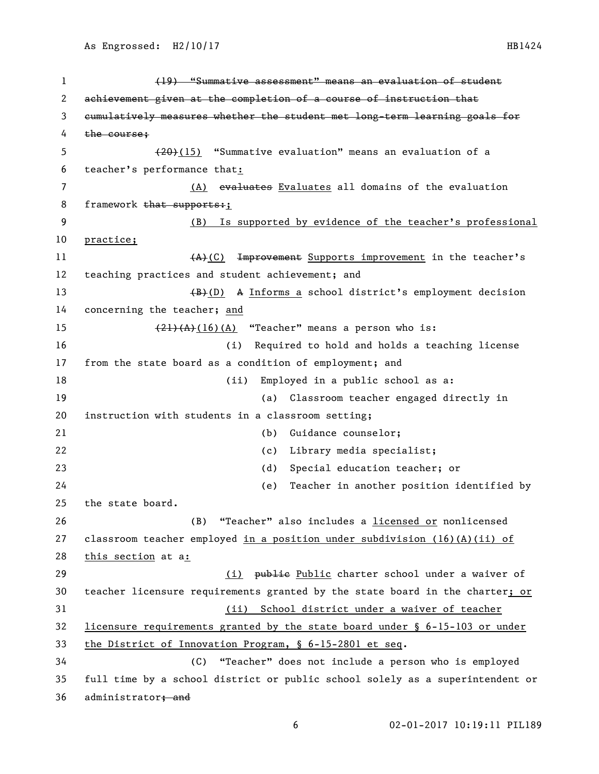| $\mathbf{1}$ | (19) "Summative assessment" means an evaluation of student                    |
|--------------|-------------------------------------------------------------------------------|
| 2            | achievement given at the completion of a course of instruction that           |
| 3            | eumulatively measures whether the student met long-term learning goals for    |
| 4            | the course:                                                                   |
| 5            | $(20)(15)$ "Summative evaluation" means an evaluation of a                    |
| 6            | teacher's performance that:                                                   |
| 7            | (A) evaluates Evaluates all domains of the evaluation                         |
| 8            | framework that supports:                                                      |
| 9            | Is supported by evidence of the teacher's professional<br>(B)                 |
| 10           | practice;                                                                     |
| 11           | Improvement Supports improvement in the teacher's<br>(A)(C)                   |
| 12           | teaching practices and student achievement; and                               |
| 13           | (B) (D) A Informs a school district's employment decision                     |
| 14           | concerning the teacher; and                                                   |
| 15           | $\frac{(21)(A)(16)(A)}{4}$ "Teacher" means a person who is:                   |
| 16           | Required to hold and holds a teaching license<br>(i)                          |
| 17           | from the state board as a condition of employment; and                        |
| 18           | (ii)<br>Employed in a public school as a:                                     |
| 19           | (a) Classroom teacher engaged directly in                                     |
| 20           | instruction with students in a classroom setting;                             |
| 21           | Guidance counselor;<br>(b)                                                    |
| 22           | Library media specialist;<br>(c)                                              |
| 23           | Special education teacher; or<br>(d)                                          |
| 24           | Teacher in another position identified by<br>(e)                              |
| 25           | the state board.                                                              |
| 26           | "Teacher" also includes a licensed or nonlicensed<br>(B)                      |
| 27           | classroom teacher employed in a position under subdivision $(16)(A)(ii)$ of   |
| 28           | this section at a:                                                            |
| 29           | (i) publie Public charter school under a waiver of                            |
| 30           | teacher licensure requirements granted by the state board in the charter; or  |
| 31           | (ii) School district under a waiver of teacher                                |
| 32           | licensure requirements granted by the state board under § 6-15-103 or under   |
| 33           | the District of Innovation Program, § 6-15-2801 et seq.                       |
| 34           | "Teacher" does not include a person who is employed<br>(C)                    |
| 35           | full time by a school district or public school solely as a superintendent or |
| 36           | administrator, and                                                            |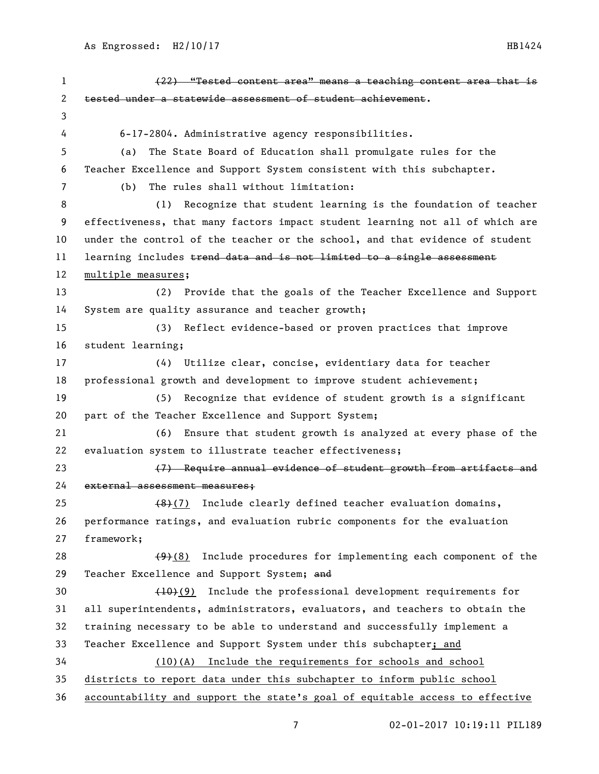| 1  | (22) "Tested content area" means a teaching content area that is              |
|----|-------------------------------------------------------------------------------|
| 2  | tested under a statewide assessment of student achievement.                   |
| 3  |                                                                               |
| 4  | 6-17-2804. Administrative agency responsibilities.                            |
| 5  | The State Board of Education shall promulgate rules for the<br>(a)            |
| 6  | Teacher Excellence and Support System consistent with this subchapter.        |
| 7  | The rules shall without limitation:<br>(b)                                    |
| 8  | Recognize that student learning is the foundation of teacher<br>(1)           |
| 9  | effectiveness, that many factors impact student learning not all of which are |
| 10 | under the control of the teacher or the school, and that evidence of student  |
| 11 | learning includes trend data and is not limited to a single assessment        |
| 12 | multiple measures;                                                            |
| 13 | (2) Provide that the goals of the Teacher Excellence and Support              |
| 14 | System are quality assurance and teacher growth;                              |
| 15 | Reflect evidence-based or proven practices that improve<br>(3)                |
| 16 | student learning;                                                             |
| 17 | (4)<br>Utilize clear, concise, evidentiary data for teacher                   |
| 18 | professional growth and development to improve student achievement;           |
| 19 | Recognize that evidence of student growth is a significant<br>(5)             |
| 20 | part of the Teacher Excellence and Support System;                            |
| 21 | Ensure that student growth is analyzed at every phase of the<br>(6)           |
| 22 | evaluation system to illustrate teacher effectiveness;                        |
| 23 | (7) Require annual evidence of student growth from artifacts and              |
| 24 | external assessment measures:                                                 |
| 25 | (8)(7) Include clearly defined teacher evaluation domains,                    |
| 26 | performance ratings, and evaluation rubric components for the evaluation      |
| 27 | framework;                                                                    |
| 28 | $(9)(8)$ Include procedures for implementing each component of the            |
| 29 | Teacher Excellence and Support System; and                                    |
| 30 | $(10)(9)$ Include the professional development requirements for               |
| 31 | all superintendents, administrators, evaluators, and teachers to obtain the   |
| 32 | training necessary to be able to understand and successfully implement a      |
| 33 | Teacher Excellence and Support System under this subchapter; and              |
| 34 | (10)(A) Include the requirements for schools and school                       |
| 35 | districts to report data under this subchapter to inform public school        |
| 36 | accountability and support the state's goal of equitable access to effective  |

02-01-2017 10:19:11 PIL189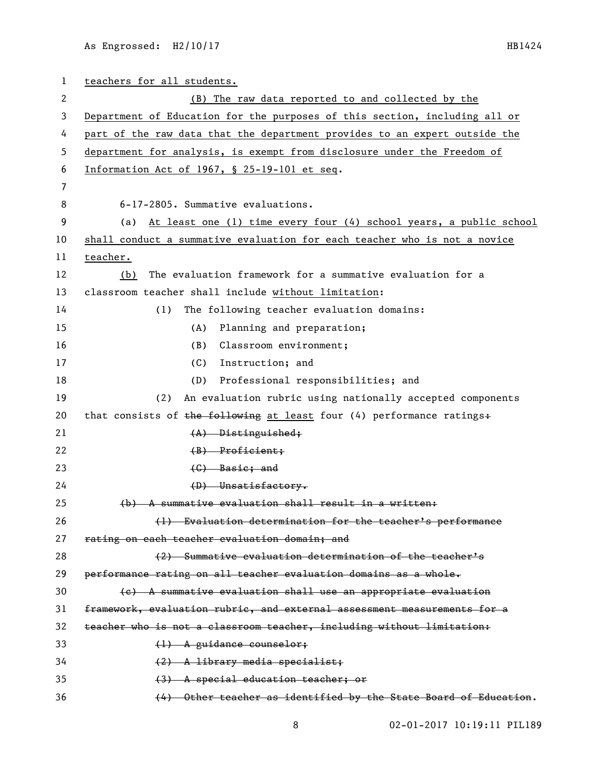As Engrossed: H2/10/17 HB1424

| $\mathbf{1}$ | teachers for all students.                                                 |
|--------------|----------------------------------------------------------------------------|
| 2            | (B) The raw data reported to and collected by the                          |
| 3            | Department of Education for the purposes of this section, including all or |
| 4            | part of the raw data that the department provides to an expert outside the |
| 5            | department for analysis, is exempt from disclosure under the Freedom of    |
| 6            | Information Act of 1967, § 25-19-101 et seq.                               |
| 7            |                                                                            |
| 8            | 6-17-2805. Summative evaluations.                                          |
| 9            | At least one (1) time every four (4) school years, a public school<br>(a)  |
| 10           | shall conduct a summative evaluation for each teacher who is not a novice  |
| 11           | teacher.                                                                   |
| 12           | The evaluation framework for a summative evaluation for a<br>(b)           |
| 13           | classroom teacher shall include without limitation:                        |
| 14           | The following teacher evaluation domains:<br>(1)                           |
| 15           | Planning and preparation;<br>(A)                                           |
| 16           | Classroom environment;<br>(B)                                              |
| 17           | (C)<br>Instruction; and                                                    |
| 18           | Professional responsibilities; and<br>(D)                                  |
| 19           | An evaluation rubric using nationally accepted components<br>(2)           |
| 20           | that consists of the following at least four (4) performance ratings+      |
| 21           | $(A)$ Distinguished;                                                       |
| 22           | $(B)$ Proficient;                                                          |
| 23           | $(G)$ Basic; and                                                           |
| 24           | $(D)$ Unsatisfactory.                                                      |
| 25           | (b) A summative evaluation shall result in a written:                      |
| 26           | (1) Evaluation determination for the teacher's performance                 |
| 27           | rating on each teacher evaluation domain; and                              |
| 28           | (2) Summative evaluation determination of the teacher's                    |
| 29           | performance rating on all teacher evaluation domains as a whole.           |
| 30           | (e) A summative evaluation shall use an appropriate evaluation             |
| 31           | framework, evaluation rubric, and external assessment measurements for a   |
| 32           | teacher who is not a classroom teacher, including without limitation:      |
| 33           | $(1)$ A guidance counselor;                                                |
| 34           | $(2)$ A library media specialist;                                          |
| 35           | (3) A special education teacher; or                                        |
| 36           | (4) Other teacher as identified by the State Board of Education.           |

02-01-2017 10:19:11 PIL189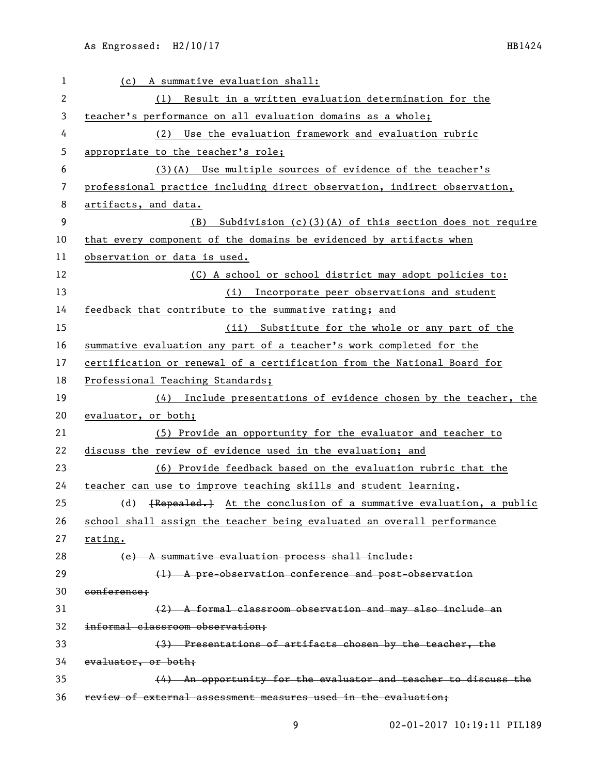| 1  | (c) A summative evaluation shall:                                         |
|----|---------------------------------------------------------------------------|
| 2  | (1) Result in a written evaluation determination for the                  |
| 3  | teacher's performance on all evaluation domains as a whole;               |
| 4  | (2) Use the evaluation framework and evaluation rubric                    |
| 5  | appropriate to the teacher's role;                                        |
| 6  | (3)(A) Use multiple sources of evidence of the teacher's                  |
| 7  | professional practice including direct observation, indirect observation, |
| 8  | artifacts, and data.                                                      |
| 9  | Subdivision $(c)(3)(A)$ of this section does not require<br>(B)           |
| 10 | that every component of the domains be evidenced by artifacts when        |
| 11 | observation or data is used.                                              |
| 12 | (C) A school or school district may adopt policies to:                    |
| 13 | (i) Incorporate peer observations and student                             |
| 14 | feedback that contribute to the summative rating; and                     |
| 15 | (ii) Substitute for the whole or any part of the                          |
| 16 | summative evaluation any part of a teacher's work completed for the       |
| 17 | certification or renewal of a certification from the National Board for   |
| 18 | Professional Teaching Standards;                                          |
| 19 | (4) Include presentations of evidence chosen by the teacher, the          |
| 20 | evaluator, or both;                                                       |
| 21 | (5) Provide an opportunity for the evaluator and teacher to               |
| 22 | discuss the review of evidence used in the evaluation; and                |
| 23 | (6) Provide feedback based on the evaluation rubric that the              |
| 24 | teacher can use to improve teaching skills and student learning.          |
| 25 | (d) {Repealed,} At the conclusion of a summative evaluation, a public     |
| 26 | school shall assign the teacher being evaluated an overall performance    |
| 27 | rating.                                                                   |
| 28 | (e) A summative evaluation process shall include:                         |
| 29 | (1) A pre-observation conference and post-observation                     |
| 30 | conference;                                                               |
| 31 | (2) A formal classroom observation and may also include an                |
| 32 | informal classroom observation;                                           |
| 33 | (3) Presentations of artifacts chosen by the teacher, the                 |
| 34 | evaluator, or both;                                                       |
| 35 | (4) An opportunity for the evaluator and teacher to discuss the           |
| 36 | review of external assessment measures used in the evaluation;            |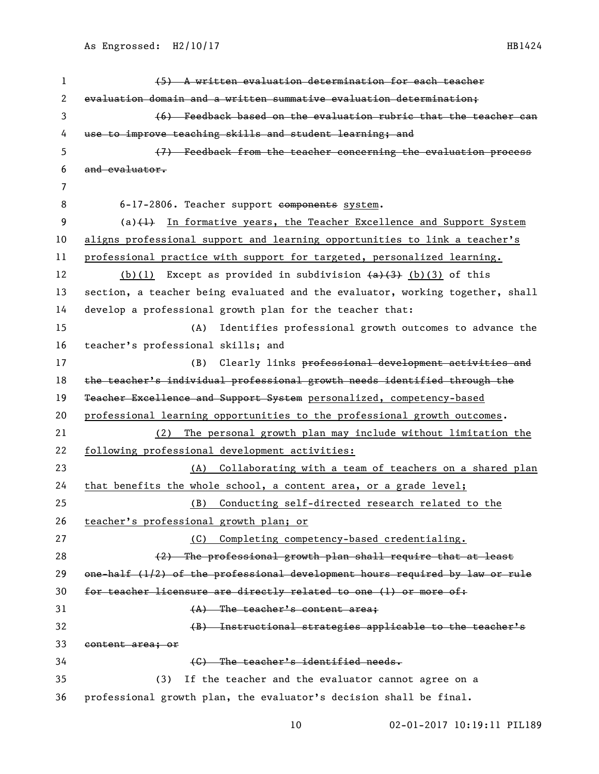| 1  | (5) A written evaluation determination for each teacher                        |
|----|--------------------------------------------------------------------------------|
| 2  | evaluation domain and a written summative evaluation determination;            |
| 3  | (6) Feedback based on the evaluation rubric that the teacher can               |
| 4  | use to improve teaching skills and student learning; and                       |
| 5  | (7) Feedback from the teacher concerning the evaluation process                |
| 6  | and evaluator.                                                                 |
| 7  |                                                                                |
| 8  | 6-17-2806. Teacher support components system.                                  |
| 9  | $(a)$ $(4)$ In formative years, the Teacher Excellence and Support System      |
| 10 | aligns professional support and learning opportunities to link a teacher's     |
| 11 | professional practice with support for targeted, personalized learning.        |
| 12 | (b)(1) Except as provided in subdivision $(a)$ $(3)$ (b)(3) of this            |
| 13 | section, a teacher being evaluated and the evaluator, working together, shall  |
| 14 | develop a professional growth plan for the teacher that:                       |
| 15 | Identifies professional growth outcomes to advance the<br>(A)                  |
| 16 | teacher's professional skills; and                                             |
| 17 | (B)<br>Clearly links professional development activities and                   |
| 18 | the teacher's individual professional growth needs identified through the      |
| 19 | Teacher Excellence and Support System personalized, competency-based           |
| 20 | professional learning opportunities to the professional growth outcomes.       |
| 21 | The personal growth plan may include without limitation the<br>(2)             |
| 22 | following professional development activities:                                 |
| 23 | (A) Collaborating with a team of teachers on a shared plan                     |
| 24 | that benefits the whole school, a content area, or a grade level;              |
| 25 | (B) Conducting self-directed research related to the                           |
| 26 | teacher's professional growth plan; or                                         |
| 27 | Completing competency-based credentialing.<br>(C)                              |
| 28 | (2) The professional growth plan shall require that at least                   |
| 29 | $one-half (1/2) of the professional development hours required by law or rule$ |
| 30 | for teacher licensure are directly related to one (1) or more of:              |
| 31 | $(A)$ The teacher's content area;                                              |
| 32 | (B) Instructional strategies applicable to the teacher's                       |
| 33 | content area; or                                                               |
| 34 | (C) The teacher's identified needs.                                            |
| 35 | If the teacher and the evaluator cannot agree on a<br>(3)                      |
| 36 | professional growth plan, the evaluator's decision shall be final.             |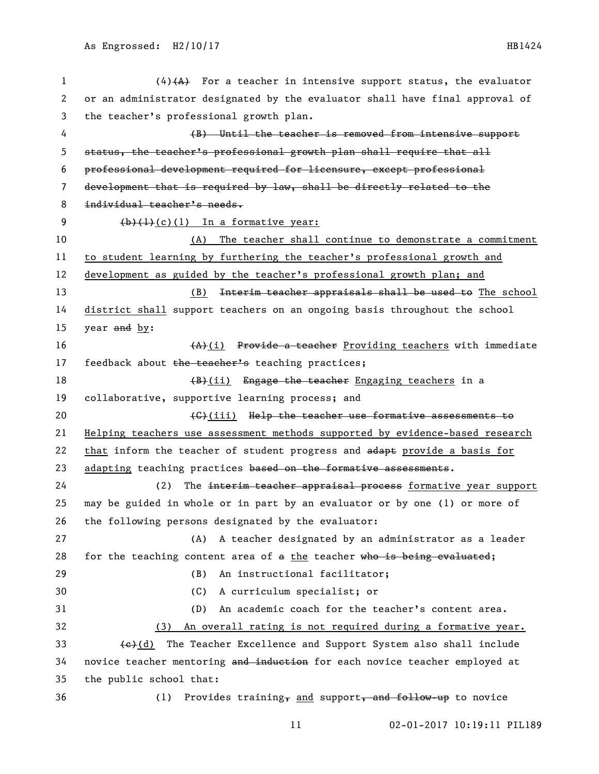(4)(A) For a teacher in intensive support status, the evaluator or an administrator designated by the evaluator shall have final approval of the teacher's professional growth plan. (B) Until the teacher is removed from intensive support status, the teacher's professional growth plan shall require that all professional development required for licensure, except professional development that is required by law, shall be directly related to the individual teacher's needs.  $(b)$  (1)(c)(1) In a formative year: (A) The teacher shall continue to demonstrate a commitment to student learning by furthering the teacher's professional growth and development as guided by the teacher's professional growth plan; and 13 (B) Interim teacher appraisals shall be used to The school district shall support teachers on an ongoing basis throughout the school 15 year  $\frac{and}{by}$ :  $(A)$ (i) Provide a teacher Providing teachers with immediate 17 feedback about the teacher's teaching practices; 18 (B)(ii) Engage the teacher Engaging teachers in a collaborative, supportive learning process; and **(C)(iii)** Help the teacher use formative assessments to Helping teachers use assessment methods supported by evidence-based research 22 that inform the teacher of student progress and adapt provide a basis for 23 adapting teaching practices based on the formative assessments. 24 (2) The interim teacher appraisal process formative year support may be guided in whole or in part by an evaluator or by one (1) or more of the following persons designated by the evaluator: (A) A teacher designated by an administrator as a leader 28 for the teaching content area of a the teacher who is being evaluated; (B) An instructional facilitator; (C) A curriculum specialist; or (D) An academic coach for the teacher's content area. (3) An overall rating is not required during a formative year.  $\leftarrow$  (e)(d) The Teacher Excellence and Support System also shall include 34 novice teacher mentoring and induction for each novice teacher employed at the public school that: 36 (1) Provides training, and support, and follow-up to novice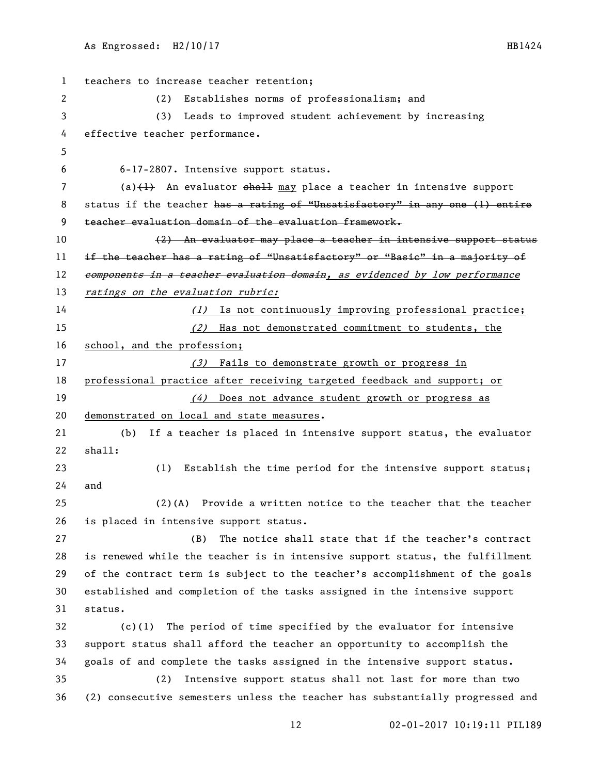teachers to increase teacher retention; (2) Establishes norms of professionalism; and (3) Leads to improved student achievement by increasing effective teacher performance. 6-17-2807. Intensive support status. 7 (a)(1) An evaluator shall may place a teacher in intensive support 8 status if the teacher has a rating of "Unsatisfactory" in any one (1) entire teacher evaluation domain of the evaluation framework. (2) An evaluator may place a teacher in intensive support status 11 if the teacher has a rating of "Unsatisfactory" or "Basic" in a majority of 12 components in a teacher evaluation domain, as evidenced by low performance 13 ratings on the evaluation rubric: 14 (1) Is not continuously improving professional practice; (2) Has not demonstrated commitment to students, the 16 school, and the profession; 17 (3) Fails to demonstrate growth or progress in 18 professional practice after receiving targeted feedback and support; or 19 (4) Does not advance student growth or progress as demonstrated on local and state measures. (b) If a teacher is placed in intensive support status, the evaluator shall: (1) Establish the time period for the intensive support status; and (2)(A) Provide a written notice to the teacher that the teacher is placed in intensive support status. (B) The notice shall state that if the teacher's contract is renewed while the teacher is in intensive support status, the fulfillment of the contract term is subject to the teacher's accomplishment of the goals established and completion of the tasks assigned in the intensive support status. (c)(1) The period of time specified by the evaluator for intensive support status shall afford the teacher an opportunity to accomplish the goals of and complete the tasks assigned in the intensive support status. (2) Intensive support status shall not last for more than two (2) consecutive semesters unless the teacher has substantially progressed and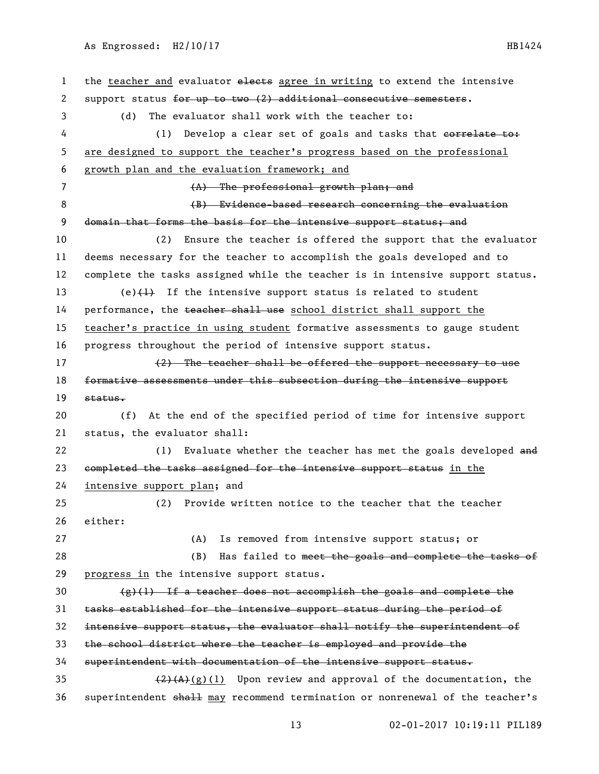## As Engrossed: H2/10/17 HB1424

1 the teacher and evaluator elects agree in writing to extend the intensive 2 support status for up to two (2) additional consecutive semesters. (d) The evaluator shall work with the teacher to: 4 (1) Develop a clear set of goals and tasks that correlate to: are designed to support the teacher's progress based on the professional growth plan and the evaluation framework; and (A) The professional growth plan; and 8 (B) Evidence-based research concerning the evaluation 9 domain that forms the basis for the intensive support status; and (2) Ensure the teacher is offered the support that the evaluator deems necessary for the teacher to accomplish the goals developed and to complete the tasks assigned while the teacher is in intensive support status. 13 (e) $\{1\}$  If the intensive support status is related to student 14 performance, the teacher shall use school district shall support the teacher's practice in using student formative assessments to gauge student progress throughout the period of intensive support status. 17 (2) The teacher shall be offered the support necessary to use 18 formative assessments under this subsection during the intensive support status. (f) At the end of the specified period of time for intensive support status, the evaluator shall: 22 (1) Evaluate whether the teacher has met the goals developed and 23 completed the tasks assigned for the intensive support status in the intensive support plan; and (2) Provide written notice to the teacher that the teacher either: (A) Is removed from intensive support status; or 28 (B) Has failed to meet the goals and complete the tasks of progress in the intensive support status.  $(g)(1)$  If a teacher does not accomplish the goals and complete the tasks established for the intensive support status during the period of intensive support status, the evaluator shall notify the superintendent of the school district where the teacher is employed and provide the superintendent with documentation of the intensive support status.  $(2)(A)(g)(1)$  Upon review and approval of the documentation, the superintendent shall may recommend termination or nonrenewal of the teacher's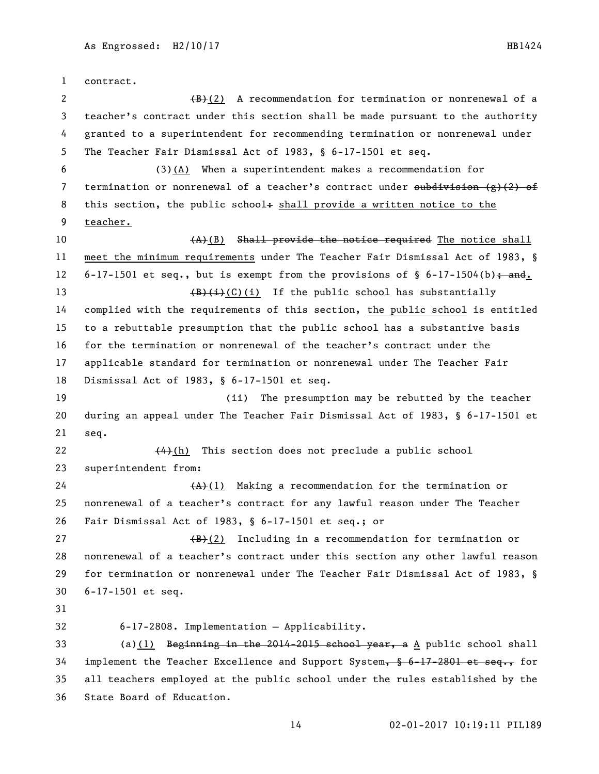contract. 2 (B)(2) A recommendation for termination or nonrenewal of a teacher's contract under this section shall be made pursuant to the authority granted to a superintendent for recommending termination or nonrenewal under The Teacher Fair Dismissal Act of 1983, § 6-17-1501 et seq. (3)(A) When a superintendent makes a recommendation for 7 termination or nonrenewal of a teacher's contract under  $\frac{1}{3}$  ( $\frac{1}{2}$ ) of 8 this section, the public school+ shall provide a written notice to the teacher.  $(A)$ (B) Shall provide the notice required The notice shall meet the minimum requirements under The Teacher Fair Dismissal Act of 1983, § 12 6-17-1501 et seq., but is exempt from the provisions of  $\S$  6-17-1504(b); and.  $\left(\frac{B}{t}(\text{C})(i)\right)$  If the public school has substantially complied with the requirements of this section, the public school is entitled to a rebuttable presumption that the public school has a substantive basis for the termination or nonrenewal of the teacher's contract under the applicable standard for termination or nonrenewal under The Teacher Fair Dismissal Act of 1983, § 6-17-1501 et seq. (ii) The presumption may be rebutted by the teacher during an appeal under The Teacher Fair Dismissal Act of 1983, § 6-17-1501 et seq.  $(4)$ (h) This section does not preclude a public school superintendent from:  $(A)$ (1) Making a recommendation for the termination or nonrenewal of a teacher's contract for any lawful reason under The Teacher Fair Dismissal Act of 1983, § 6-17-1501 et seq.; or 27 (B)(2) Including in a recommendation for termination or nonrenewal of a teacher's contract under this section any other lawful reason for termination or nonrenewal under The Teacher Fair Dismissal Act of 1983, § 6-17-1501 et seq. 6-17-2808. Implementation — Applicability. 33 (a)(1) Beginning in the 2014-2015 school year, a A public school shall 34 implement the Teacher Excellence and Support System,  $\frac{6}{3}$  6-17-2801 et seq., for all teachers employed at the public school under the rules established by the

State Board of Education.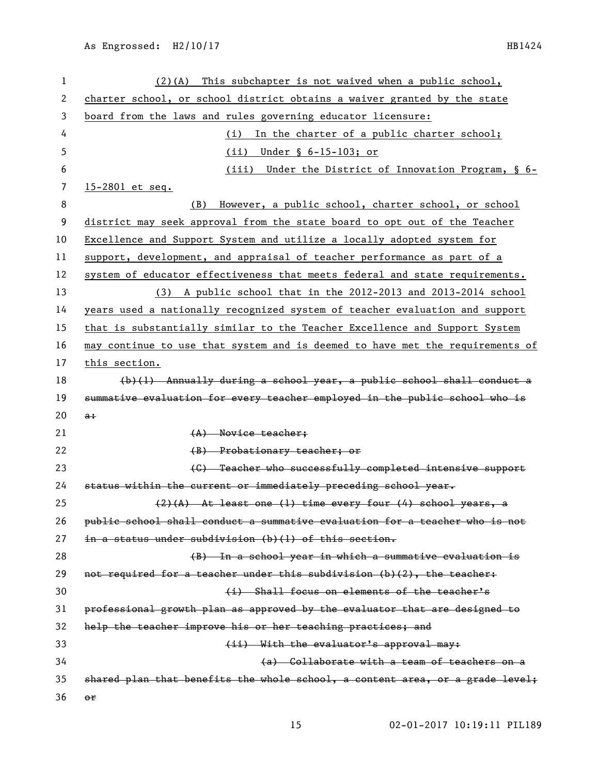| 1  | $(2)(A)$ This subchapter is not waived when a public school,                  |
|----|-------------------------------------------------------------------------------|
| 2  | charter school, or school district obtains a waiver granted by the state      |
| 3  | board from the laws and rules governing educator licensure:                   |
| 4  | In the charter of a public charter school;<br>(i)                             |
| 5  | (ii) Under $\S$ 6-15-103; or                                                  |
| 6  | (iii) Under the District of Innovation Program, § 6-                          |
| 7  | 15-2801 et seq.                                                               |
| 8  | However, a public school, charter school, or school<br>(B)                    |
| 9  | district may seek approval from the state board to opt out of the Teacher     |
| 10 | Excellence and Support System and utilize a locally adopted system for        |
| 11 | support, development, and appraisal of teacher performance as part of a       |
| 12 | system of educator effectiveness that meets federal and state requirements.   |
| 13 | (3) A public school that in the 2012-2013 and 2013-2014 school                |
| 14 | years used a nationally recognized system of teacher evaluation and support   |
| 15 | that is substantially similar to the Teacher Excellence and Support System    |
| 16 | may continue to use that system and is deemed to have met the requirements of |
| 17 | this section.                                                                 |
| 18 | $(b)(1)$ Annually during a school year, a public school shall conduct a       |
| 19 | summative evaluation for every teacher employed in the public school who is   |
| 20 | $a$ :                                                                         |
| 21 | $(A)$ Novice teacher;                                                         |
| 22 | (B) Probationary teacher; or                                                  |
| 23 | (C) Teacher who successfully completed intensive support                      |
| 24 | status within the current or immediately preceding school year.               |
| 25 | $(2)$ (A) At least one (1) time every four (4) school years, a                |
| 26 | public school shall conduct a summative evaluation for a teacher who is not   |
| 27 | in a status under subdivision (b)(l) of this section.                         |
| 28 | (B) In a school year in which a summative evaluation is                       |
| 29 | not required for a teacher under this subdivision (b)(2), the teacher:        |
| 30 | (i) Shall focus on elements of the teacher's                                  |
| 31 | professional growth plan as approved by the evaluator that are designed to    |
| 32 | help the teacher improve his or her teaching practices; and                   |
| 33 | (ii) With the evaluator's approval may:                                       |
| 34 | (a) Collaborate with a team of teachers on a                                  |
| 35 | shared plan that benefits the whole school, a content area, or a grade level; |
| 36 | $_{\text{er}}$                                                                |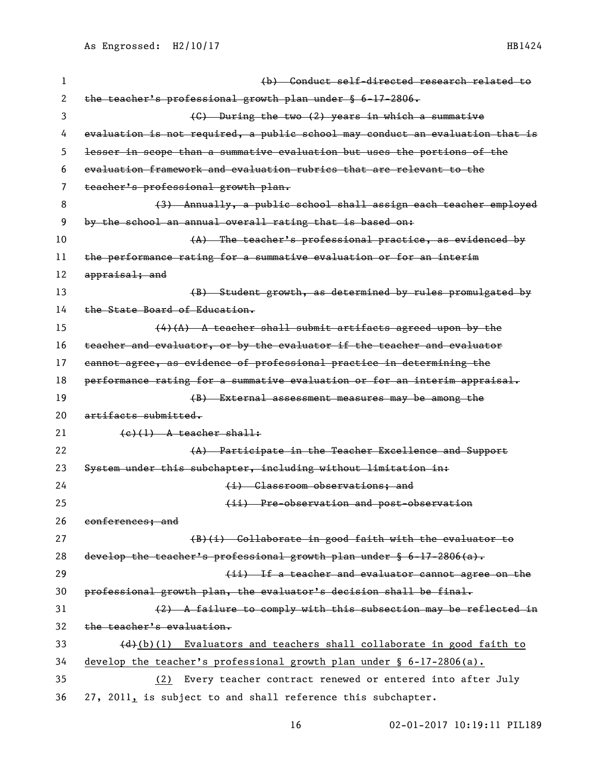| 1  | (b) Conduct self-directed research related to                                 |
|----|-------------------------------------------------------------------------------|
| 2  | the teacher's professional growth plan under § 6-17-2806.                     |
| 3  | (C) During the two (2) years in which a summative                             |
| 4  | evaluation is not required, a public school may conduct an evaluation that is |
| 5  | lesser in scope than a summative evaluation but uses the portions of the      |
| 6  | evaluation framework and evaluation rubrics that are relevant to the          |
| 7  | teacher's professional growth plan.                                           |
| 8  | (3) Annually, a public school shall assign each teacher employed              |
| 9  | by the school an annual overall rating that is based on:                      |
| 10 | (A) The teacher's professional practice, as evidenced by                      |
| 11 | the performance rating for a summative evaluation or for an interim           |
| 12 | appraisal; and                                                                |
| 13 | (B) Student growth, as determined by rules promulgated by                     |
| 14 | the State Board of Education.                                                 |
| 15 | $(4)$ (A) A teacher shall submit artifacts agreed upon by the                 |
| 16 | teacher and evaluator, or by the evaluator if the teacher and evaluator       |
| 17 | cannot agree, as evidence of professional practice in determining the         |
| 18 | performance rating for a summative evaluation or for an interim appraisal.    |
| 19 | (B) External assessment measures may be among the                             |
| 20 | artifacts submitted.                                                          |
| 21 | $(e)$ (1) A teacher shall:                                                    |
| 22 | (A) Participate in the Teacher Excellence and Support                         |
| 23 | System under this subchapter, including without limitation in:                |
| 24 | (i) Classroom observations; and                                               |
| 25 | (ii) Pre-observation and post-observation                                     |
| 26 | conferences; and                                                              |
| 27 | (B)(i) Collaborate in good faith with the evaluator to                        |
| 28 | develop the teacher's professional growth plan under $\S$ 6-17-2806(a).       |
| 29 | (ii) If a teacher and evaluator cannot agree on the                           |
| 30 | professional growth plan, the evaluator's decision shall be final.            |
| 31 | $(2)$ A failure to comply with this subsection may be reflected in            |
| 32 | the teacher's evaluation.                                                     |
| 33 | (d)(b)(1) Evaluators and teachers shall collaborate in good faith to          |
| 34 | develop the teacher's professional growth plan under $\S$ 6-17-2806(a).       |
| 35 | Every teacher contract renewed or entered into after July<br>(2)              |
| 36 | 27, 2011, is subject to and shall reference this subchapter.                  |